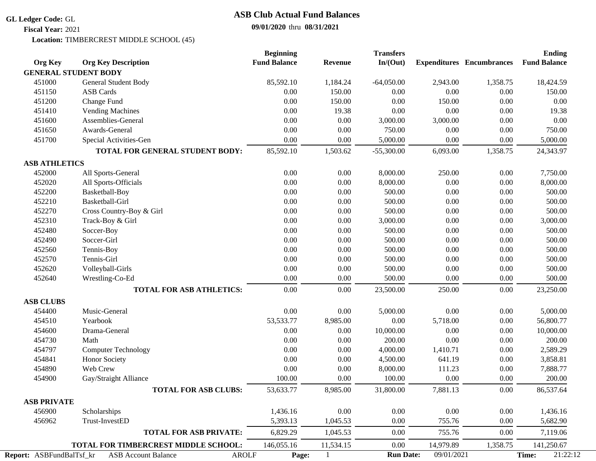## **GL Ledger Code:** GL

## **09/01/2020** thru **08/31/2021 ASB Club Actual Fund Balances**

**Fiscal Year:** 2021

Location: TIMBERCREST MIDDLE SCHOOL (45)

|                                                                        |                                      | <b>Beginning</b>    |                | <b>Transfers</b> |            |                                  | <b>Ending</b>       |
|------------------------------------------------------------------------|--------------------------------------|---------------------|----------------|------------------|------------|----------------------------------|---------------------|
| <b>Org Key</b>                                                         | <b>Org Key Description</b>           | <b>Fund Balance</b> | <b>Revenue</b> | In/(Out)         |            | <b>Expenditures</b> Encumbrances | <b>Fund Balance</b> |
| <b>GENERAL STUDENT BODY</b>                                            |                                      |                     |                |                  |            |                                  |                     |
| 451000                                                                 | General Student Body                 | 85,592.10           | 1,184.24       | $-64,050.00$     | 2,943.00   | 1,358.75                         | 18,424.59           |
| 451150                                                                 | <b>ASB Cards</b>                     | 0.00                | 150.00         | 0.00             | 0.00       | 0.00                             | 150.00              |
| 451200                                                                 | Change Fund                          | 0.00                | 150.00         | 0.00             | 150.00     | 0.00                             | 0.00                |
| 451410                                                                 | <b>Vending Machines</b>              | $0.00\,$            | 19.38          | 0.00             | 0.00       | $0.00\,$                         | 19.38               |
| 451600                                                                 | Assemblies-General                   | $0.00\,$            | 0.00           | 3,000.00         | 3,000.00   | $0.00\,$                         | 0.00                |
| 451650                                                                 | Awards-General                       | 0.00                | 0.00           | 750.00           | 0.00       | $0.00\,$                         | 750.00              |
| 451700                                                                 | Special Activities-Gen               | 0.00                | 0.00           | 5,000.00         | 0.00       | $0.00\,$                         | 5,000.00            |
|                                                                        | TOTAL FOR GENERAL STUDENT BODY:      | 85,592.10           | 1,503.62       | $-55,300.00$     | 6,093.00   | 1,358.75                         | 24,343.97           |
| <b>ASB ATHLETICS</b>                                                   |                                      |                     |                |                  |            |                                  |                     |
| 452000                                                                 | All Sports-General                   | 0.00                | 0.00           | 8,000.00         | 250.00     | 0.00                             | 7,750.00            |
| 452020                                                                 | All Sports-Officials                 | 0.00                | 0.00           | 8,000.00         | 0.00       | 0.00                             | 8,000.00            |
| 452200                                                                 | Basketball-Boy                       | $0.00\,$            | 0.00           | 500.00           | $0.00\,$   | $0.00\,$                         | 500.00              |
| 452210                                                                 | Basketball-Girl                      | $0.00\,$            | $0.00\,$       | 500.00           | $0.00\,$   | $0.00\,$                         | 500.00              |
| 452270                                                                 | Cross Country-Boy & Girl             | $0.00\,$            | 0.00           | 500.00           | $0.00\,$   | $0.00\,$                         | 500.00              |
| 452310                                                                 | Track-Boy & Girl                     | 0.00                | 0.00           | 3,000.00         | 0.00       | 0.00                             | 3,000.00            |
| 452480                                                                 | Soccer-Boy                           | $0.00\,$            | 0.00           | 500.00           | $0.00\,$   | $0.00\,$                         | 500.00              |
| 452490                                                                 | Soccer-Girl                          | 0.00                | 0.00           | 500.00           | 0.00       | $0.00\,$                         | 500.00              |
| 452560                                                                 | Tennis-Boy                           | 0.00                | 0.00           | 500.00           | $0.00\,$   | 0.00                             | 500.00              |
| 452570                                                                 | Tennis-Girl                          | 0.00                | 0.00           | 500.00           | 0.00       | 0.00                             | 500.00              |
| 452620                                                                 | Volleyball-Girls                     | 0.00                | 0.00           | 500.00           | $0.00\,$   | $0.00\,$                         | 500.00              |
| 452640                                                                 | Wrestling-Co-Ed                      | 0.00                | 0.00           | 500.00           | 0.00       | 0.00                             | 500.00              |
|                                                                        | <b>TOTAL FOR ASB ATHLETICS:</b>      | 0.00                | 0.00           | 23,500.00        | 250.00     | 0.00                             | 23,250.00           |
| <b>ASB CLUBS</b>                                                       |                                      |                     |                |                  |            |                                  |                     |
| 454400                                                                 | Music-General                        | 0.00                | 0.00           | 5,000.00         | 0.00       | $0.00\,$                         | 5,000.00            |
| 454510                                                                 | Yearbook                             | 53,533.77           | 8,985.00       | 0.00             | 5,718.00   | $0.00\,$                         | 56,800.77           |
| 454600                                                                 | Drama-General                        | 0.00                | 0.00           | 10,000.00        | 0.00       | 0.00                             | 10,000.00           |
| 454730                                                                 | Math                                 | 0.00                | 0.00           | 200.00           | 0.00       | 0.00                             | 200.00              |
| 454797                                                                 | <b>Computer Technology</b>           | 0.00                | 0.00           | 4,000.00         | 1,410.71   | 0.00                             | 2,589.29            |
| 454841                                                                 | Honor Society                        | 0.00                | 0.00           | 4,500.00         | 641.19     | $0.00\,$                         | 3,858.81            |
| 454890                                                                 | Web Crew                             | 0.00                | 0.00           | 8,000.00         | 111.23     | $0.00\,$                         | 7,888.77            |
| 454900                                                                 | Gay/Straight Alliance                | 100.00              | 0.00           | 100.00           | 0.00       | 0.00                             | 200.00              |
|                                                                        | <b>TOTAL FOR ASB CLUBS:</b>          | 53,633.77           | 8,985.00       | 31,800.00        | 7,881.13   | 0.00                             | 86,537.64           |
| <b>ASB PRIVATE</b>                                                     |                                      |                     |                |                  |            |                                  |                     |
| 456900                                                                 | Scholarships                         | 1,436.16            | 0.00           | $0.00\,$         | $0.00\,$   | $0.00\,$                         | 1,436.16            |
| 456962                                                                 | Trust-InvestED                       | 5,393.13            | 1,045.53       | 0.00             | 755.76     | 0.00                             | 5,682.90            |
|                                                                        | <b>TOTAL FOR ASB PRIVATE:</b>        | 6,829.29            | 1,045.53       | 0.00             | 755.76     | $0.00\,$                         | 7,119.06            |
|                                                                        | TOTAL FOR TIMBERCREST MIDDLE SCHOOL: | 146,055.16          | 11,534.15      | $0.00\,$         | 14,979.89  | 1,358.75                         | 141,250.67          |
| Report: ASBFundBalTsf_kr<br><b>AROLF</b><br><b>ASB Account Balance</b> |                                      | Page:               |                | <b>Run Date:</b> | 09/01/2021 |                                  | 21:22:12<br>Time:   |